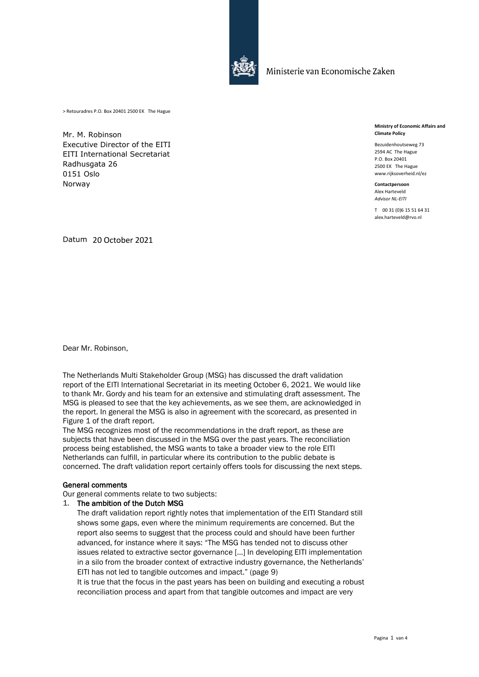

Ministerie van Economische Zaken

> Retouradres P.O. Box 20401 2500 EK The Hague

Mr. M. Robinson Executive Director of the EITI EITI International Secretariat Radhusgata 26 0151 Oslo Norway

**Ministry of Economic Affairs and Climate Policy**

Bezuidenhoutseweg 73 2594 AC The Hague P.O. Box 20401 2500 EK The Hague www.rijksoverheid.nl/ez

**Contactpersoon** Alex Harteveld *Advisor NL-EITI*

T 00 31 (0)6 15 51 64 31 alex.harteveld@rvo.nl

Datum 20 October 2021

Dear Mr. Robinson,

The Netherlands Multi Stakeholder Group (MSG) has discussed the draft validation report of the EITI International Secretariat in its meeting October 6, 2021. We would like to thank Mr. Gordy and his team for an extensive and stimulating draft assessment. The MSG is pleased to see that the key achievements, as we see them, are acknowledged in the report. In general the MSG is also in agreement with the scorecard, as presented in Figure 1 of the draft report.

The MSG recognizes most of the recommendations in the draft report, as these are subjects that have been discussed in the MSG over the past years. The reconciliation process being established, the MSG wants to take a broader view to the role EITI Netherlands can fulfill, in particular where its contribution to the public debate is concerned. The draft validation report certainly offers tools for discussing the next steps.

## General comments

Our general comments relate to two subjects:

## 1. The ambition of the Dutch MSG

The draft validation report rightly notes that implementation of the EITI Standard still shows some gaps, even where the minimum requirements are concerned. But the report also seems to suggest that the process could and should have been further advanced, for instance where it says: "The MSG has tended not to discuss other issues related to extractive sector governance […] In developing EITI implementation in a silo from the broader context of extractive industry governance, the Netherlands' EITI has not led to tangible outcomes and impact." (page 9)

It is true that the focus in the past years has been on building and executing a robust reconciliation process and apart from that tangible outcomes and impact are very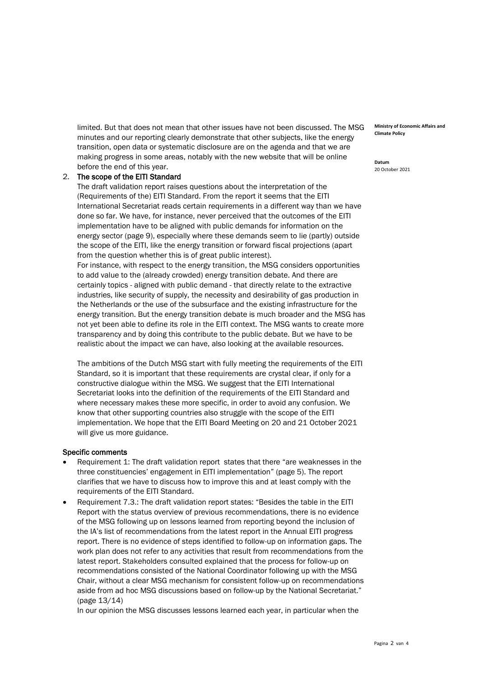limited. But that does not mean that other issues have not been discussed. The MSG minutes and our reporting clearly demonstrate that other subjects, like the energy transition, open data or systematic disclosure are on the agenda and that we are making progress in some areas, notably with the new website that will be online before the end of this year.

## 2. The scope of the EITI Standard

The draft validation report raises questions about the interpretation of the (Requirements of the) EITI Standard. From the report it seems that the EITI International Secretariat reads certain requirements in a different way than we have done so far. We have, for instance, never perceived that the outcomes of the EITI implementation have to be aligned with public demands for information on the energy sector (page 9), especially where these demands seem to lie (partly) outside the scope of the EITI, like the energy transition or forward fiscal projections (apart from the question whether this is of great public interest).

For instance, with respect to the energy transition, the MSG considers opportunities to add value to the (already crowded) energy transition debate. And there are certainly topics - aligned with public demand - that directly relate to the extractive industries, like security of supply, the necessity and desirability of gas production in the Netherlands or the use of the subsurface and the existing infrastructure for the energy transition. But the energy transition debate is much broader and the MSG has not yet been able to define its role in the EITI context. The MSG wants to create more transparency and by doing this contribute to the public debate. But we have to be realistic about the impact we can have, also looking at the available resources.

The ambitions of the Dutch MSG start with fully meeting the requirements of the EITI Standard, so it is important that these requirements are crystal clear, if only for a constructive dialogue within the MSG. We suggest that the EITI International Secretariat looks into the definition of the requirements of the EITI Standard and where necessary makes these more specific, in order to avoid any confusion. We know that other supporting countries also struggle with the scope of the EITI implementation. We hope that the EITI Board Meeting on 20 and 21 October 2021 will give us more guidance.

## Specific comments

- Requirement 1: The draft validation report states that there "are weaknesses in the three constituencies' engagement in EITI implementation" (page 5). The report clarifies that we have to discuss how to improve this and at least comply with the requirements of the EITI Standard.
- Requirement 7.3.: The draft validation report states: "Besides the table in the EITI Report with the status overview of previous recommendations, there is no evidence of the MSG following up on lessons learned from reporting beyond the inclusion of the IA's list of recommendations from the latest report in the Annual EITI progress report. There is no evidence of steps identified to follow-up on information gaps. The work plan does not refer to any activities that result from recommendations from the latest report. Stakeholders consulted explained that the process for follow-up on recommendations consisted of the National Coordinator following up with the MSG Chair, without a clear MSG mechanism for consistent follow-up on recommendations aside from ad hoc MSG discussions based on follow-up by the National Secretariat." (page 13/14)

In our opinion the MSG discusses lessons learned each year, in particular when the

**Ministry of Economic Affairs and Climate Policy**

**Datum** 20 October 2021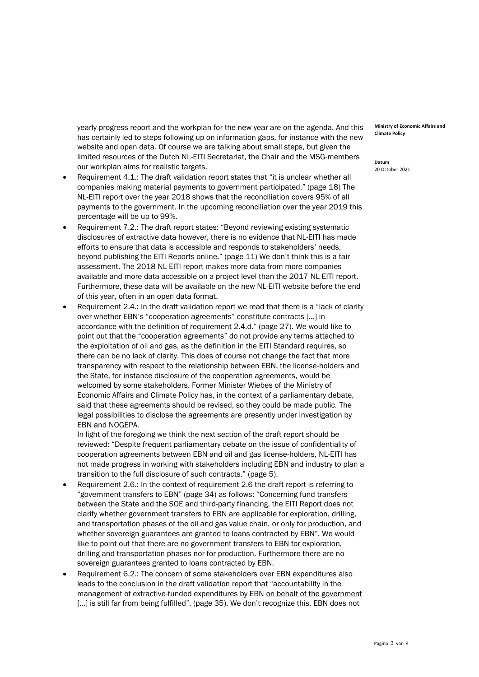yearly progress report and the workplan for the new year are on the agenda. And this has certainly led to steps following up on information gaps, for instance with the new website and open data. Of course we are talking about small steps, but given the limited resources of the Dutch NL-EITI Secretariat, the Chair and the MSG-members our workplan aims for realistic targets.

- Requirement 4.1.: The draft validation report states that "it is unclear whether all companies making material payments to government participated." (page 18) The NL-EITI report over the year 2018 shows that the reconciliation covers 95% of all payments to the government. In the upcoming reconciliation over the year 2019 this percentage will be up to 99%.
- Requirement 7.2.: The draft report states: "Beyond reviewing existing systematic disclosures of extractive data however, there is no evidence that NL-EITI has made efforts to ensure that data is accessible and responds to stakeholders' needs, beyond publishing the EITI Reports online." (page 11) We don't think this is a fair assessment. The 2018 NL-EITI report makes more data from more companies available and more data accessible on a project level than the 2017 NL-EITI report. Furthermore, these data will be available on the new NL-EITI website before the end of this year, often in an open data format.
- Requirement 2.4.: In the draft validation report we read that there is a "lack of clarity over whether EBN's "cooperation agreements" constitute contracts […] in accordance with the definition of requirement 2.4.d." (page 27). We would like to point out that the "cooperation agreements" do not provide any terms attached to the exploitation of oil and gas, as the definition in the EITI Standard requires, so there can be no lack of clarity. This does of course not change the fact that more transparency with respect to the relationship between EBN, the license-holders and the State, for instance disclosure of the cooperation agreements, would be welcomed by some stakeholders. Former Minister Wiebes of the Ministry of Economic Affairs and Climate Policy has, in the context of a parliamentary debate, said that these agreements should be revised, so they could be made public. The legal possibilities to disclose the agreements are presently under investigation by EBN and NOGEPA.

In light of the foregoing we think the next section of the draft report should be reviewed: "Despite frequent parliamentary debate on the issue of confidentiality of cooperation agreements between EBN and oil and gas license-holders, NL-EITI has not made progress in working with stakeholders including EBN and industry to plan a transition to the full disclosure of such contracts." (page 5).

- Requirement 2.6.: In the context of requirement 2.6 the draft report is referring to "government transfers to EBN" (page 34) as follows: "Concerning fund transfers between the State and the SOE and third-party financing, the EITI Report does not clarify whether government transfers to EBN are applicable for exploration, drilling, and transportation phases of the oil and gas value chain, or only for production, and whether sovereign guarantees are granted to loans contracted by EBN". We would like to point out that there are no government transfers to EBN for exploration, drilling and transportation phases nor for production. Furthermore there are no sovereign guarantees granted to loans contracted by EBN.
- Requirement 6.2.: The concern of some stakeholders over EBN expenditures also leads to the conclusion in the draft validation report that "accountability in the management of extractive-funded expenditures by EBN on behalf of the government [...] is still far from being fulfilled". (page 35). We don't recognize this. EBN does not

**Ministry of Economic Affairs and Climate Policy**

**Datum** 20 October 2021